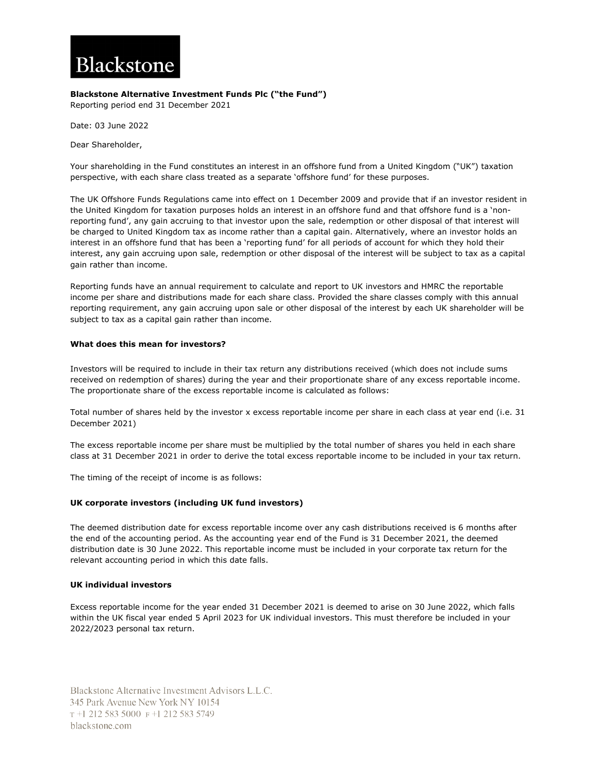# Blackstone

## **Blackstone Alternative Investment Funds Plc ("the Fund")**

Reporting period end 31 December 2021

Date: 03 June 2022

Dear Shareholder,

Your shareholding in the Fund constitutes an interest in an offshore fund from a United Kingdom ("UK") taxation perspective, with each share class treated as a separate 'offshore fund' for these purposes.

The UK Offshore Funds Regulations came into effect on 1 December 2009 and provide that if an investor resident in the United Kingdom for taxation purposes holds an interest in an offshore fund and that offshore fund is a 'nonreporting fund', any gain accruing to that investor upon the sale, redemption or other disposal of that interest will be charged to United Kingdom tax as income rather than a capital gain. Alternatively, where an investor holds an interest in an offshore fund that has been a 'reporting fund' for all periods of account for which they hold their interest, any gain accruing upon sale, redemption or other disposal of the interest will be subject to tax as a capital gain rather than income.

Reporting funds have an annual requirement to calculate and report to UK investors and HMRC the reportable income per share and distributions made for each share class. Provided the share classes comply with this annual reporting requirement, any gain accruing upon sale or other disposal of the interest by each UK shareholder will be subject to tax as a capital gain rather than income.

## **What does this mean for investors?**

Investors will be required to include in their tax return any distributions received (which does not include sums received on redemption of shares) during the year and their proportionate share of any excess reportable income. The proportionate share of the excess reportable income is calculated as follows:

Total number of shares held by the investor x excess reportable income per share in each class at year end (i.e. 31 December 2021)

The excess reportable income per share must be multiplied by the total number of shares you held in each share class at 31 December 2021 in order to derive the total excess reportable income to be included in your tax return.

The timing of the receipt of income is as follows:

## **UK corporate investors (including UK fund investors)**

The deemed distribution date for excess reportable income over any cash distributions received is 6 months after the end of the accounting period. As the accounting year end of the Fund is 31 December 2021, the deemed distribution date is 30 June 2022. This reportable income must be included in your corporate tax return for the relevant accounting period in which this date falls.

### **UK individual investors**

Excess reportable income for the year ended 31 December 2021 is deemed to arise on 30 June 2022, which falls within the UK fiscal year ended 5 April 2023 for UK individual investors. This must therefore be included in your 2022/2023 personal tax return.

Blackstone Alternative Investment Advisors L.L.C. 345 Park Avenue New York NY 10154 T+1 212 583 5000 F+1 212 583 5749 blackstone.com